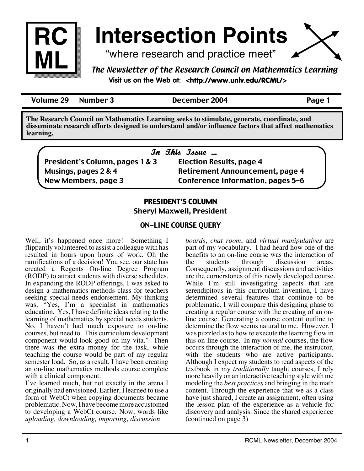

# **Intersection Points**

"where research and practice meet"



Volume 29 Number 3 December 2004 Page 1

**The Research Council on Mathematics Learning seeks to stimulate, generate, coordinate, and disseminate research efforts designed to understand and/or influence factors that affect mathematics learning.**

|                                 | In This Issue                          |
|---------------------------------|----------------------------------------|
| President's Column, pages 1 & 3 | <b>Election Results, page 4</b>        |
| Musings, pages 2 & 4            | <b>Retirement Announcement, page 4</b> |
| New Members, page 3             | Conference Information, pages 5-6      |

## PRESIDENT'S COLUMN

Sheryl Maxwell, President

## ON-LINE COURSE QUERY

Well, it's happened once more! Something I flippantly volunteered to assist a colleague with has resulted in hours upon hours of work. Oh the ramifications of a decision! You see, our state has created a Regents On-line Degree Program (RODP) to attract students with diverse schedules. In expanding the RODP offerings, I was asked to design a mathematics methods class for teachers seeking special needs endorsement. My thinking was, "Yes, I'm a specialist in mathematics education. Yes, I have definite ideas relating to the learning of mathematics by special needs students. No, I haven't had much exposure to on-line courses, but need to. This curriculum development component would look good on my vita." Then there was the extra money for the task, while teaching the course would be part of my regular semester load. So, as a result, I have been creating an on-line mathematics methods course complete with a clinical component.

I've learned much, but not exactly in the arena I originally had envisioned. Earlier, I learned to use a form of WebCt when copying documents became problematic. Now, I have become more accustomed to developing a WebCt course. Now, words like *uploading, downloading, importing, discussion* 

*boards*, *chat room*, and *virtual manipulatives* are part of my vocabulary. I had heard how one of the benefits to an on-line course was the interaction of the students through discussion areas. discussion areas. Consequently, assignment discussions and activities are the cornerstones of this newly developed course. While I'm still investigating aspects that are serendipitous in this curriculum invention, I have determined several features that continue to be problematic. I will compare this designing phase to creating a regular course with the creating of an online course. Generating a course content outline to determine the flow seems natural to me. However, I was puzzled as to how to execute the learning flow in this on-line course. In my *normal* courses, the flow occurs through the interaction of me, the instructor, with the students who are active participants. Although I expect my students to read aspects of the textbook in my *traditionally* taught courses, I rely more heavily on an interactive teaching style with me modeling the *best practices* and bringing in the math content. Through the experience that we as a class have just shared, I create an assignment, often using the lesson plan of the experience as a vehicle for discovery and analysis. Since the shared experience (continued on page 3)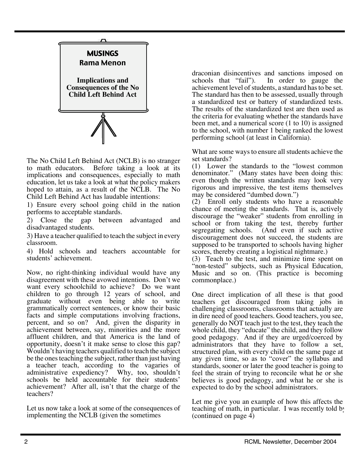

The No Child Left Behind Act (NCLB) is no stranger to math educators. Before taking a look at its implications and consequences, especially to math education, let us take a look at what the policy makers hoped to attain, as a result of the NCLB. The No Child Left Behind Act has laudable intentions:

1) Ensure every school going child in the nation performs to acceptable standards.

2) Close the gap between advantaged and disadvantaged students.

3) Have a teacher qualified to teach the subject in every classroom.

4) Hold schools and teachers accountable for students' achievement.

Now, no right-thinking individual would have any disagreement with these avowed intentions. Don't we want every schoolchild to achieve? Do we want children to go through 12 years of school, and graduate without even being able to write grammatically correct sentences, or know their basic facts and simple computations involving fractions, percent, and so on? And, given the disparity in achievement between, say, minorities and the more affluent children, and that America is the land of opportunity, doesn't it make sense to close this gap? Wouldn't having teachers qualified to teach the subject be the ones teaching the subject, rather than just having a teacher teach, according to the vagaries of administrative expediency? Why, too, shouldn't schools be held accountable for their students' achievement? After all, isn't that the charge of the teachers?

Let us now take a look at some of the consequences of implementing the NCLB (given the sometimes

draconian disincentives and sanctions imposed on schools that "fail"). In order to gauge the achievement level of students, a standard has to be set. The standard has then to be assessed, usually through a standardized test or battery of standardized tests. The results of the standardized test are then used as the criteria for evaluating whether the standards have been met, and a numerical score (1 to 10) is assigned to the school, with number 1 being ranked the lowest performing school (at least in California).

What are some ways to ensure all students achieve the set standards?

(1) Lower the standards to the "lowest common denominator." (Many states have been doing this: even though the written standards may look very rigorous and impressive, the test items themselves may be considered "dumbed down.")

(2) Enroll only students who have a reasonable chance of meeting the standards. That is, actively discourage the "weaker" students from enrolling in school or from taking the test, thereby further segregating schools. (And even if such active discouragement does not succeed, the students are supposed to be transported to schools having higher scores, thereby creating a logistical nightmare.)

(3) Teach to the test, and minimize time spent on "non-tested" subjects, such as Physical Education, Music and so on. (This practice is becoming commonplace.)

One direct implication of all these is that good teachers get discouraged from taking jobs in challenging classrooms, classrooms that actually are in dire need of good teachers. Good teachers, you see, generally do NOT teach just to the test, they teach the whole child, they "educate" the child, and they follow good pedagogy. And if they are urged/coerced by administrators that they have to follow a set, structured plan, with every child on the same page at any given time, so as to "cover" the syllabus and standards, sooner or later the good teacher is going to feel the strain of trying to reconcile what he or she believes is good pedagogy, and what he or she is expected to do by the school administrators.

Let me give you an example of how this affects the teaching of math, in particular. I was recently told by (continued on page 4)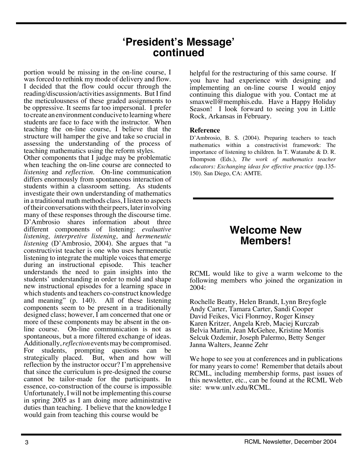## **'President's Message' continued**

portion would be missing in the on-line course, I was forced to rethink my mode of delivery and flow. I decided that the flow could occur through the reading/discussion/activities assignments. But I find the meticulousness of these graded assignments to be oppressive. It seems far too impersonal. I prefer to create an environment conducive to learning where students are face to face with the instructor. When teaching the on-line course, I believe that the structure will hamper the give and take so crucial in assessing the understanding of the process of teaching mathematics using the reform styles.

Other components that I judge may be problematic when teaching the on-line course are connected to *listening* and *reflection.* On-line communication differs enormously from spontaneous interaction of students within a classroom setting. As students investigate their own understanding of mathematics in a traditional math methods class, I listen to aspects of their conversations with their peers, later involving many of these responses through the discourse time. D'Ambrosio shares information about three different components of listening: *evaluative listening, interpretive listening*, and *hermeneutic listening* (D'Ambrosio, 2004). She argues that "a constructivist teacher is one who uses hermeneutic listening to integrate the multiple voices that emerge during an instructional episode. This teacher understands the need to gain insights into the students' understanding in order to mold and shape new instructional episodes for a learning space in which students and teachers co-construct knowledge and meaning" (p. 140). All of these listening components seem to be present in a traditionally designed class; however, I am concerned that one or more of these components may be absent in the online course. On-line communication is not as spontaneous, but a more filtered exchange of ideas. Additionally, *reflection* events may be compromised. For students, prompting questions can be strategically placed. But, when and how will reflection by the instructor occur? I'm apprehensive that since the curriculum is pre-designed the course cannot be tailor-made for the participants. In essence, co-construction of the course is impossible. Unfortunately, I will not be implementing this course in spring 2005 as I am doing more administrative duties than teaching. I believe that the knowledge I would gain from teaching this course would be

helpful for the restructuring of this same course. If you have had experience with designing and implementing an on-line course I would enjoy continuing this dialogue with you. Contact me at smaxwell@memphis.edu. Have a Happy Holiday Season! I look forward to seeing you in Little Rock, Arkansas in February.

## **Reference**

D'Ambrosio, B. S. (2004). Preparing teachers to teach mathematics within a constructivist framework: The importance of listening to children. In T. Watanabe & D. R. Thompson (Eds.), *The work of mathematics teacher educators: Exchanging ideas for effective practice* (pp.135- 150). San Diego, CA: AMTE.

# **Welcome New Members!**

RCML would like to give a warm welcome to the following members who joined the organization in 2004:

Rochelle Beatty, Helen Brandt, Lynn Breyfogle Andy Carter, Tamara Carter, Sandi Cooper David Feikes, Vici Flonrnoy, Roger Kinsey Karen Kritzer, Angela Kreb, Maciej Kurczab Belvia Martin, Jean McGehee, Kristine Montis Selcuk Ozdemir, Joseph Palermo, Betty Senger Janna Walters, Jeanne Zehr

We hope to see you at conferences and in publications for many years to come! Remember that details about RCML, including membership forms, past issues of this newsletter, etc., can be found at the RCML Web site: www.unlv.edu/RCML.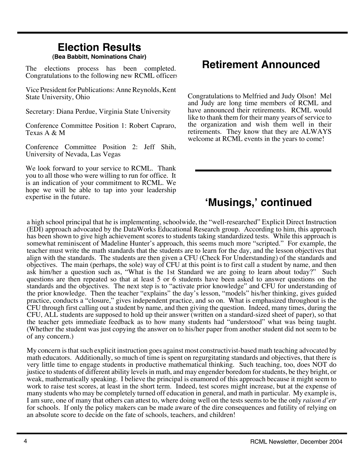# **Election Results**

## **(Bea Babbitt, Nominations Chair)**

The elections process has been completed. Congratulations to the following new RCML officers:

Vice President for Publications: Anne Reynolds, Kent State University, Ohio

Secretary: Diana Perdue, Virginia State University

Conference Committee Position 1: Robert Capraro, Texas A & M

Conference Committee Position 2: Jeff Shih, University of Nevada, Las Vegas

We look forward to your service to RCML. Thank you to all those who were willing to run for office. It is an indication of your commitment to RCML. We hope we will be able to tap into your leadership expertise in the future.

# **Retirement Announced**

Congratulations to Melfried and Judy Olson! Mel and Judy are long time members of RCML and have announced their retirements. RCML would like to thank them for their many years of service to the organization and wish them well in their retirements. They know that they are ALWAYS welcome at RCML events in the years to come!

# **'Musings,' continued**

a high school principal that he is implementing, schoolwide, the "well-researched" Explicit Direct Instruction (EDI) approach advocated by the DataWorks Educational Research group. According to him, this approach has been shown to give high achievement scores to students taking standardized tests. While this approach is somewhat reminiscent of Madeline Hunter's approach, this seems much more "scripted." For example, the teacher must write the math standards that the students are to learn for the day, and the lesson objectives that align with the standards. The students are then given a CFU (Check For Understanding) of the standards and objectives. The main (perhaps, the sole) way of CFU at this point is to first call a student by name, and then ask him/her a question such as, "What is the 1st Standard we are going to learn about today?" Such questions are then repeated so that at least 5 or 6 students have been asked to answer questions on the standards and the objectives. The next step is to "activate prior knowledge" and CFU for understanding of the prior knowledge. Then the teacher "explains" the day's lesson, "models" his/her thinking, gives guided practice, conducts a "closure," gives independent practice, and so on. What is emphasized throughout is the CFU through first calling out a student by name, and then giving the question. Indeed, many times, during the CFU, ALL students are supposed to hold up their answer (written on a standard-sized sheet of paper), so that the teacher gets immediate feedback as to how many students had "understood" what was being taught. (Whether the student was just copying the answer on to his/her paper from another student did not seem to be of any concern.)

My concern is that such explicit instruction goes against most constructivist-based math teaching advocated by math educators. Additionally, so much of time is spent on regurgitating standards and objectives, that there is very little time to engage students in productive mathematical thinking. Such teaching, too, does NOT do justice to students of different ability levels in math, and may engender boredom for students, be they bright, or weak, mathematically speaking. I believe the principal is enamored of this approach because it might seem to work to raise test scores, at least in the short term. Indeed, test scores might increase, but at the expense of many students who may be completely turned off education in general, and math in particular. My example is, I am sure, one of many that others can attest to, where doing well on the tests seems to be the only *raison d'etr* for schools. If only the policy makers can be made aware of the dire consequences and futility of relying on an absolute score to decide on the fate of schools, teachers, and children!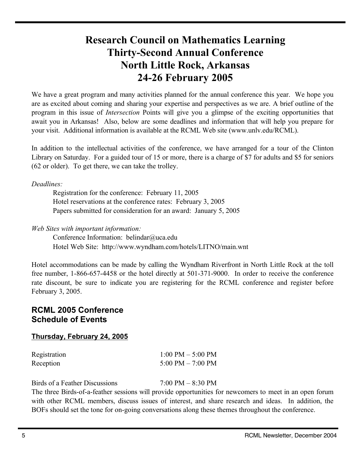# Research Council on Mathematics Learning Thirty-Second Annual Conference North Little Rock, Arkansas 24-26 February 2005

We have a great program and many activities planned for the annual conference this year. We hope you are as excited about coming and sharing your expertise and perspectives as we are. A brief outline of the program in this issue of *Intersection* Points will give you a glimpse of the exciting opportunities that await you in Arkansas! Also, below are some deadlines and information that will help you prepare for your visit. Additional information is available at the RCML Web site (www.unlv.edu/RCML).

In addition to the intellectual activities of the conference, we have arranged for a tour of the Clinton Library on Saturday. For a guided tour of 15 or more, there is a charge of \$7 for adults and \$5 for seniors (62 or older). To get there, we can take the trolley.

*Deadlines:*

Registration for the conference: February 11, 2005 Hotel reservations at the conference rates: February 3, 2005 Papers submitted for consideration for an award: January 5, 2005

*Web Sites with important information:*

Conference Information: belindar@uca.edu Hotel Web Site: http://www.wyndham.com/hotels/LITNO/main.wnt

Hotel accommodations can be made by calling the Wyndham Riverfront in North Little Rock at the toll free number, 1-866-657-4458 or the hotel directly at 501-371-9000. In order to receive the conference rate discount, be sure to indicate you are registering for the RCML conference and register before February 3, 2005.

## **RCML 2005 Conference Schedule of Events**

## **Thursday, February 24, 2005**

| Registration | $1:00$ PM $-$ 5:00 PM |
|--------------|-----------------------|
| Reception    | 5:00 PM $-$ 7:00 PM   |

Birds of a Feather Discussions 7:00 PM – 8:30 PM

The three Birds-of-a-feather sessions will provide opportunities for newcomers to meet in an open forum with other RCML members, discuss issues of interest, and share research and ideas. In addition, the BOFs should set the tone for on-going conversations along these themes throughout the conference.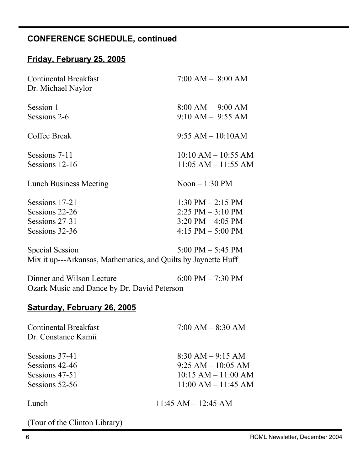## **CONFERENCE SCHEDULE, continued**

## **Friday, February 25, 2005**

| <b>Continental Breakfast</b><br>Dr. Michael Naylor | $7:00$ AM $-$ 8:00 AM                        |
|----------------------------------------------------|----------------------------------------------|
| Session 1<br>Sessions 2-6                          | $8:00 AM - 9:00 AM$<br>$9:10$ AM $-$ 9:55 AM |
|                                                    |                                              |
| Coffee Break                                       | $9:55 AM - 10:10AM$                          |
| Sessions 7-11                                      | $10:10$ AM $- 10:55$ AM                      |
| Sessions 12-16                                     | $11:05$ AM $- 11:55$ AM                      |
| <b>Lunch Business Meeting</b>                      | Noon $-1:30$ PM                              |
| Sessions 17-21                                     | $1:30 \text{ PM} - 2:15 \text{ PM}$          |
| Sessions 22-26                                     | $2:25$ PM $-3:10$ PM                         |
| Sessions 27-31                                     | $3:20 \text{ PM} - 4:05 \text{ PM}$          |
| Sessions 32-36                                     | 4:15 PM $-$ 5:00 PM                          |
| Special Session                                    | 5.00 PM $=$ 5.45 PM                          |

Special Session  $5:00 \text{ PM} - 5:45 \text{ PM}$ Mix it up---Arkansas, Mathematics, and Quilts by Jaynette Huff

Dinner and Wilson Lecture 6:00 PM – 7:30 PM Ozark Music and Dance by Dr. David Peterson

## **Saturday, February 26, 2005**

| <b>Continental Breakfast</b><br>Dr. Constance Kamii | $7:00 AM - 8:30 AM$     |
|-----------------------------------------------------|-------------------------|
| Sessions 37-41                                      | $8:30$ AM $-9:15$ AM    |
| Sessions 42-46                                      | $9:25 AM - 10:05 AM$    |
| Sessions 47-51                                      | $10:15$ AM $- 11:00$ AM |
| Sessions 52-56                                      | $11:00$ AM $- 11:45$ AM |
| Lunch                                               | $11:45$ AM $- 12:45$ AM |

(Tour of the Clinton Library)